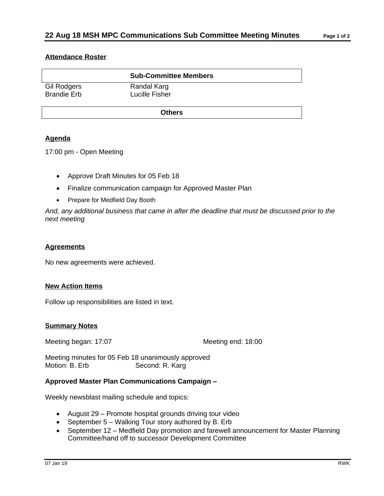### **Attendance Roster**

|                                          | <b>Sub-Committee Members</b>  |  |
|------------------------------------------|-------------------------------|--|
| <b>Gil Rodgers</b><br><b>Brandie Erb</b> | Randal Karg<br>Lucille Fisher |  |
| <b>Others</b>                            |                               |  |

# **Agenda**

17:00 pm - Open Meeting

- Approve Draft Minutes for 05 Feb 18
- Finalize communication campaign for Approved Master Plan
- Prepare for Medfield Day Booth

*And, any additional business that came in after the deadline that must be discussed prior to the next meeting*

#### **Agreements**

No new agreements were achieved.

#### **New Action Items**

Follow up responsibilities are listed in text.

#### **Summary Notes**

Meeting began: 17:07 Meeting end: 18:00

Meeting minutes for 05 Feb 18 unanimously approved<br>Motion: B. Erb Second: R. Karg Second: R. Karg

## **Approved Master Plan Communications Campaign –**

Weekly newsblast mailing schedule and topics:

- August 29 Promote hospital grounds driving tour video
- September 5 Walking Tour story authored by B. Erb
- September 12 Medfield Day promotion and farewell announcement for Master Planning Committee/hand off to successor Development Committee